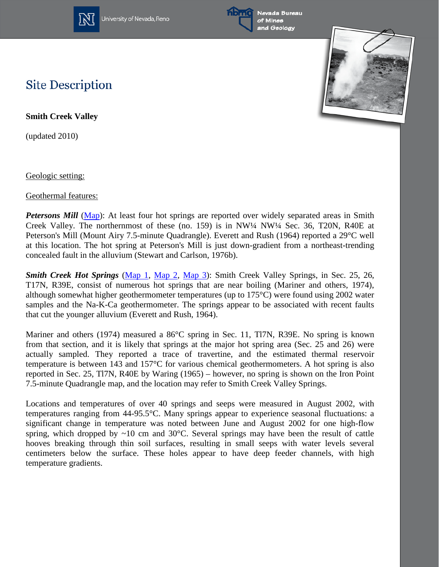

University of Nevada, Reno



Nevada Bureau and Geology



## **Site Description**

**Smith Creek Valley** 

(updated 2010)

Geologic setting:

Geothermal features:

*Petersons Mill* [\(Map\)](http://www.nbmg.unr.edu/geothermal/DetailedMaps/Northern%20Smith%20Creek%20Valley.pdf): At least four hot springs are reported over widely separated areas in Smith Creek Valley. The northernmost of these (no. 159) is in NW¼ NW¼ Sec. 36, T20N, R40E at Peterson's Mill (Mount Airy 7.5-minute Quadrangle). Everett and Rush (1964) reported a 29°C well at this location. The hot spring at Peterson's Mill is just down-gradient from a northeast-trending concealed fault in the alluvium (Stewart and Carlson, 1976b).

*Smith Creek Hot Springs* [\(Map](http://www.nbmg.unr.edu/geothermal/detailedmaps/Southern%20Smith%20Creek%20Valley%201.pdf) 1, [Map 2,](http://www.nbmg.unr.edu/geothermal/detailedmaps/Southern%20Smith%20Creek%20Valley%202.pdf) [Map 3\)](http://www.nbmg.unr.edu/geothermal/detailedmaps/Southern%20Smith%20Creek%20Valley%203.pdf): Smith Creek Valley Springs, in Sec. 25, 26, T17N, R39E, consist of numerous hot springs that are near boiling (Mariner and others, 1974), although somewhat higher geothermometer temperatures (up to 175°C) were found using 2002 water samples and the Na-K-Ca geothermometer. The springs appear to be associated with recent faults that cut the younger alluvium (Everett and Rush, 1964).

Mariner and others (1974) measured a 86°C spring in Sec. 11, Tl7N, R39E. No spring is known from that section, and it is likely that springs at the major hot spring area (Sec. 25 and 26) were actually sampled. They reported a trace of travertine, and the estimated thermal reservoir temperature is between 143 and 157°C for various chemical geothermometers. A hot spring is also reported in Sec. 25, Tl7N, R40E by Waring (1965) – however, no spring is shown on the Iron Point 7.5-minute Quadrangle map, and the location may refer to Smith Creek Valley Springs.

Locations and temperatures of over 40 springs and seeps were measured in August 2002, with temperatures ranging from 44-95.5°C. Many springs appear to experience seasonal fluctuations: a significant change in temperature was noted between June and August 2002 for one high-flow spring, which dropped by  $\sim 10$  cm and 30 $^{\circ}$ C. Several springs may have been the result of cattle hooves breaking through thin soil surfaces, resulting in small seeps with water levels several centimeters below the surface. These holes appear to have deep feeder channels, with high temperature gradients.